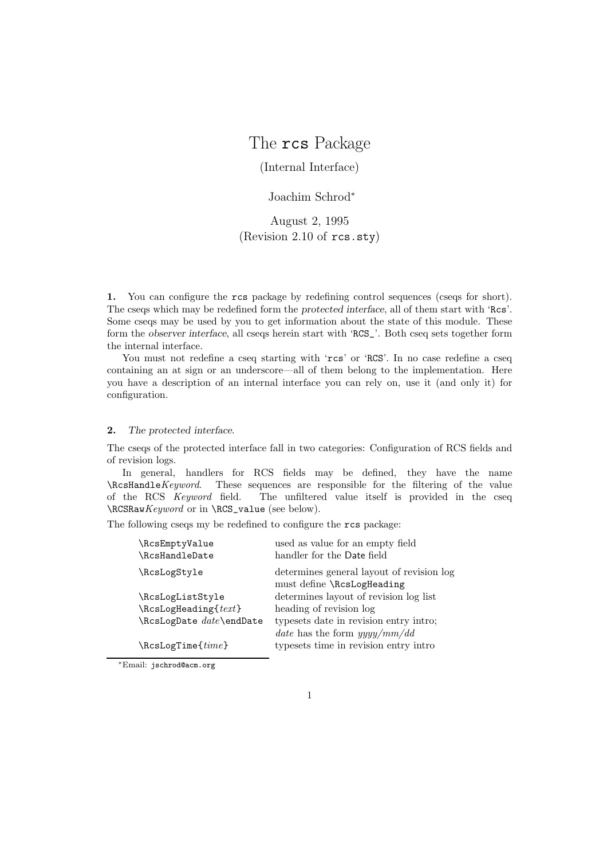# The rcs Package

(Internal Interface)

## Joachim Schrod<sup>∗</sup>

August 2, 1995 (Revision 2.10 of rcs.sty)

**1.** You can configure the rcs package by redefining control sequences (cseqs for short). The cseqs which may be redefined form the *protected interface*, all of them start with 'Rcs'. Some cseqs may be used by you to get information about the state of this module. These form the *observer interface*, all cseqs herein start with 'RCS\_'. Both cseq sets together form the internal interface.

You must not redefine a cseq starting with 'rcs' or 'RCS'. In no case redefine a cseq containing an at sign or an underscore—all of them belong to the implementation. Here you have a description of an internal interface you can rely on, use it (and only it) for configuration.

## **2.** *The protected interface*.

The cseqs of the protected interface fall in two categories: Configuration of RCS fields and of revision logs.

In general, handlers for RCS fields may be defined, they have the name \RcsHandle*Keyword*. These sequences are responsible for the filtering of the value The unfiltered value itself is provided in the cseq \RCSRaw*Keyword* or in \RCS\_value (see below).

The following cseqs my be redefined to configure the rcs package:

| \RcsEmptyValue<br>\RcsHandleDate                         | used as value for an empty field<br>handler for the Date field           |
|----------------------------------------------------------|--------------------------------------------------------------------------|
| \RcsLogStyle                                             | determines general layout of revision log<br>must define \RcsLogHeading  |
| \RcsLogListStyle                                         | determines layout of revision log list                                   |
| $\text{ResLogHeading}\$                                  | heading of revision log                                                  |
| $\text{ResLogDate} \text{ } date \text{ } \text{ } date$ | typesets date in revision entry intro;<br>date has the form $yyyy/mm/dd$ |
| $\text{ResLogTime}$                                      | typesets time in revision entry intro                                    |

∗Email: jschrod@acm.org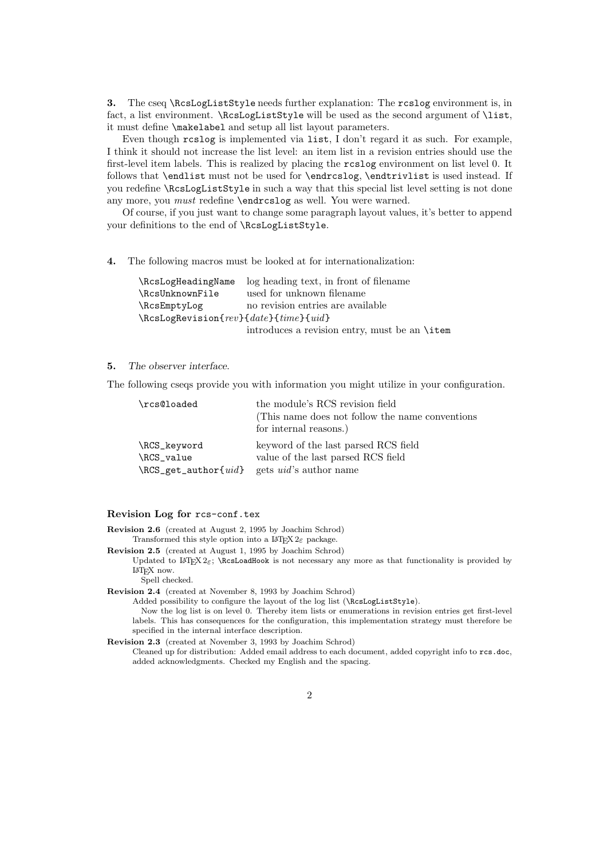**3.** The cseq \RcsLogListStyle needs further explanation: The rcslog environment is, in fact, a list environment. \RcsLogListStyle will be used as the second argument of \list, it must define \makelabel and setup all list layout parameters.

Even though rcslog is implemented via list, I don't regard it as such. For example, I think it should not increase the list level: an item list in a revision entries should use the first-level item labels. This is realized by placing the rcslog environment on list level 0. It follows that \endlist must not be used for \endrcslog, \endtrivlist is used instead. If you redefine \RcsLogListStyle in such a way that this special list level setting is not done any more, you *must* redefine \endrcslog as well. You were warned.

Of course, if you just want to change some paragraph layout values, it's better to append your definitions to the end of \RcsLogListStyle.

**4.** The following macros must be looked at for internationalization:

|                                             | \RcsLogHeadingName log heading text, in front of filename |
|---------------------------------------------|-----------------------------------------------------------|
| \RcsUnknownFile                             | used for unknown filename                                 |
| \RcsEmptyLog                                | no revision entries are available                         |
| $\kappa$ SLogRevision{rev}{date}{time}{uid} |                                                           |
|                                             | introduces a revision entry, must be an <b>\item</b>      |

### **5.** *The observer interface*.

The following cseqs provide you with information you might utilize in your configuration.

| \rcs@loaded                                                                                      | the module's RCS revision field<br>(This name does not follow the name conventions)<br>for internal reasons.) |
|--------------------------------------------------------------------------------------------------|---------------------------------------------------------------------------------------------------------------|
| \RCS_keyword<br>\RCS_value<br>$\RCS_{\text{get}\_\text{author}\{uid\}$ gets $uid$ 's author name | keyword of the last parsed RCS field<br>value of the last parsed RCS field                                    |

### **Revision Log for** rcs-conf.tex

**Revision 2.6** (created at August 2, 1995 by Joachim Schrod)

Transformed this style option into a  $\text{Lipx } 2\varepsilon$  package. **Revision 2.5** (created at August 1, 1995 by Joachim Schrod)

Updated to LATEX  $2\varepsilon$ ; \RcsLoadHook is not necessary any more as that functionality is provided by LaTEX now.

Spell checked.

**Revision 2.4** (created at November 8, 1993 by Joachim Schrod)

Added possibility to configure the layout of the log list (\RcsLogListStyle).

Now the log list is on level 0. Thereby item lists or enumerations in revision entries get first-level labels. This has consequences for the configuration, this implementation strategy must therefore be specified in the internal interface description.

**Revision 2.3** (created at November 3, 1993 by Joachim Schrod)

Cleaned up for distribution: Added email address to each document, added copyright info to rcs.doc, added acknowledgments. Checked my English and the spacing.